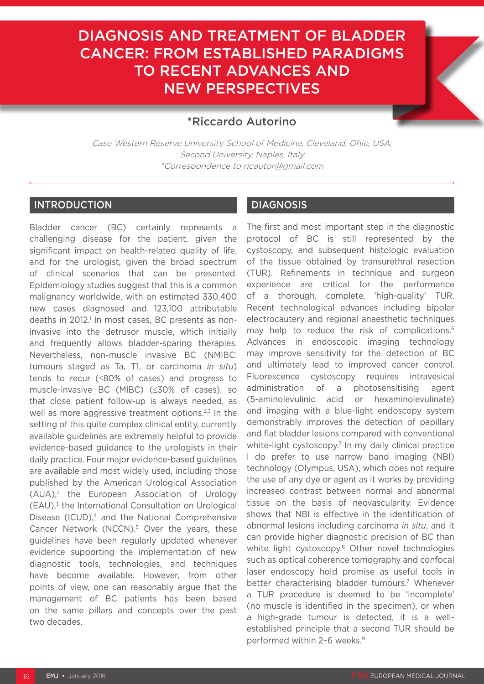# DIAGNOSIS AND TREATMENT OF BLADDER CANCER: FROM ESTABLISHED PARADIGMS TO RECENT ADVANCES AND NEW PERSPECTIVES



## \*Riccardo Autorino

Case Western Reserve University School of Medicine, Cleveland, Ohio, USA; Second University, Naples, Italy \*Correspondence to ricautor@gmail.com

### INTRODUCTION

Bladder cancer (BC) certainly represents a challenging disease for the patient, given the significant impact on health-related quality of life, and for the urologist, given the broad spectrum of clinical scenarios that can be presented. Epidemiology studies suggest that this is a common malignancy worldwide, with an estimated 330,400 new cases diagnosed and 123,100 attributable deaths in 2012.<sup>1</sup> In most cases, BC presents as noninvasive into the detrusor muscle, which initially and frequently allows bladder-sparing therapies. Nevertheless, non-muscle invasive BC (NMIBC: tumours staged as Ta, T1, or carcinoma *in situ*) tends to recur (≤80% of cases) and progress to muscle-invasive BC (MIBC) (≤30% of cases), so that close patient follow-up is always needed, as well as more aggressive treatment options.<sup>2,3</sup> In the setting of this quite complex clinical entity, currently available guidelines are extremely helpful to provide evidence-based guidance to the urologists in their daily practice. Four major evidence-based guidelines are available and most widely used, including those published by the American Urological Association (AUA),2 the European Association of Urology  $(EAU)<sup>3</sup>$  the International Consultation on Urological Disease (ICUD), $4$  and the National Comprehensive Cancer Network (NCCN).<sup>5</sup> Over the years, these guidelines have been regularly updated whenever evidence supporting the implementation of new diagnostic tools, technologies, and techniques have become available. However, from other points of view, one can reasonably argue that the management of BC patients has been based on the same pillars and concepts over the past two decades.

## DIAGNOSIS

The first and most important step in the diagnostic protocol of BC is still represented by the cystoscopy, and subsequent histologic evaluation of the tissue obtained by transurethral resection (TUR). Refinements in technique and surgeon experience are critical for the performance of a thorough, complete, 'high-quality' TUR. Recent technological advances including bipolar electrocautery and regional anaesthetic techniques may help to reduce the risk of complications.<sup>6</sup> Advances in endoscopic imaging technology may improve sensitivity for the detection of BC and ultimately lead to improved cancer control. Fluorescence cystoscopy requires intravesical administration of a photosensitising agent (5-aminolevulinic acid or hexaminolevulinate) and imaging with a blue-light endoscopy system demonstrably improves the detection of papillary and flat bladder lesions compared with conventional white-light cystoscopy.<sup>7</sup> In my daily clinical practice I do prefer to use narrow band imaging (NBI) technology (Olympus, USA), which does not require the use of any dye or agent as it works by providing increased contrast between normal and abnormal tissue on the basis of neovascularity. Evidence shows that NBI is effective in the identification of abnormal lesions including carcinoma *in situ*, and it can provide higher diagnostic precision of BC than white light cystoscopy.<sup>8</sup> Other novel technologies such as optical coherence tomography and confocal laser endoscopy hold promise as useful tools in better characterising bladder tumours.<sup>7</sup> Whenever a TUR procedure is deemed to be 'incomplete' (no muscle is identified in the specimen), or when a high-grade tumour is detected, it is a wellestablished principle that a second TUR should be performed within 2-6 weeks.<sup>9</sup>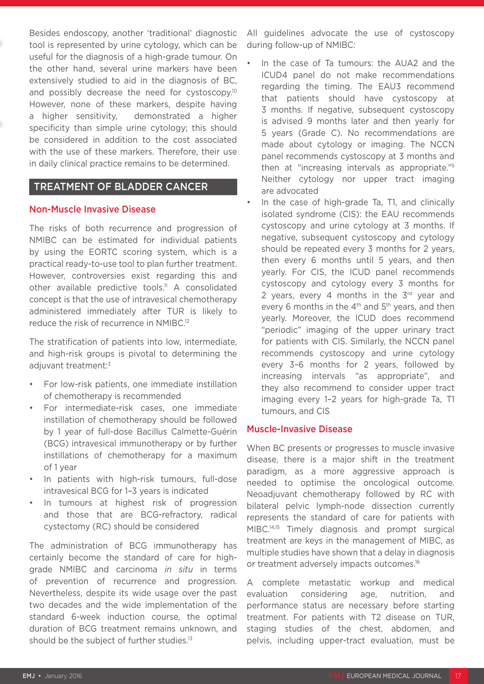Besides endoscopy, another 'traditional' diagnostic tool is represented by urine cytology, which can be useful for the diagnosis of a high-grade tumour. On the other hand, several urine markers have been extensively studied to aid in the diagnosis of BC, and possibly decrease the need for cystoscopy.<sup>10</sup> However, none of these markers, despite having a higher sensitivity, demonstrated a higher specificity than simple urine cytology; this should be considered in addition to the cost associated with the use of these markers. Therefore, their use in daily clinical practice remains to be determined.

#### TREATMENT OF BLADDER CANCER

#### Non-Muscle Invasive Disease

The risks of both recurrence and progression of NMIBC can be estimated for individual patients by using the EORTC scoring system, which is a practical ready-to-use tool to plan further treatment. However, controversies exist regarding this and other available predictive tools.<sup>11</sup> A consolidated concept is that the use of intravesical chemotherapy administered immediately after TUR is likely to reduce the risk of recurrence in NMIBC.12

The stratification of patients into low, intermediate, and high-risk groups is pivotal to determining the adjuvant treatment:<sup>3</sup>

- For low-risk patients, one immediate instillation of chemotherapy is recommended
- For intermediate-risk cases, one immediate instillation of chemotherapy should be followed by 1 year of full-dose Bacillus Calmette-Guérin (BCG) intravesical immunotherapy or by further instillations of chemotherapy for a maximum of 1 year
- In patients with high-risk tumours, full-dose intravesical BCG for 1–3 years is indicated
- In tumours at highest risk of progression and those that are BCG-refractory, radical cystectomy (RC) should be considered

The administration of BCG immunotherapy has certainly become the standard of care for highgrade NMIBC and carcinoma *in situ* in terms of prevention of recurrence and progression. Nevertheless, despite its wide usage over the past two decades and the wide implementation of the standard 6-week induction course, the optimal duration of BCG treatment remains unknown, and should be the subject of further studies.<sup>13</sup>

All guidelines advocate the use of cystoscopy during follow-up of NMIBC:

- In the case of Ta tumours: the AUA2 and the ICUD4 panel do not make recommendations regarding the timing. The EAU3 recommend that patients should have cystoscopy at 3 months. If negative, subsequent cystoscopy is advised 9 months later and then yearly for 5 years (Grade C). No recommendations are made about cytology or imaging. The NCCN panel recommends cystoscopy at 3 months and then at "increasing intervals as appropriate."5 Neither cytology nor upper tract imaging are advocated
- In the case of high-grade Ta, T1, and clinically isolated syndrome (CIS): the EAU recommends cystoscopy and urine cytology at 3 months. If negative, subsequent cystoscopy and cytology should be repeated every 3 months for 2 years, then every 6 months until 5 years, and then yearly. For CIS, the ICUD panel recommends cystoscopy and cytology every 3 months for 2 years, every 4 months in the  $3^{rd}$  year and every 6 months in the  $4<sup>th</sup>$  and  $5<sup>th</sup>$  years, and then yearly. Moreover, the ICUD does recommend "periodic" imaging of the upper urinary tract for patients with CIS. Similarly, the NCCN panel recommends cystoscopy and urine cytology every 3–6 months for 2 years, followed by increasing intervals "as appropriate", and they also recommend to consider upper tract imaging every 1–2 years for high-grade Ta, T1 tumours, and CIS

#### Muscle-Invasive Disease

When BC presents or progresses to muscle invasive disease, there is a major shift in the treatment paradigm, as a more aggressive approach is needed to optimise the oncological outcome. Neoadjuvant chemotherapy followed by RC with bilateral pelvic lymph-node dissection currently represents the standard of care for patients with MIBC.14,15 Timely diagnosis and prompt surgical treatment are keys in the management of MIBC, as multiple studies have shown that a delay in diagnosis or treatment adversely impacts outcomes.<sup>16</sup>

A complete metastatic workup and medical evaluation considering age, nutrition, and performance status are necessary before starting treatment. For patients with T2 disease on TUR, staging studies of the chest, abdomen, and pelvis, including upper-tract evaluation, must be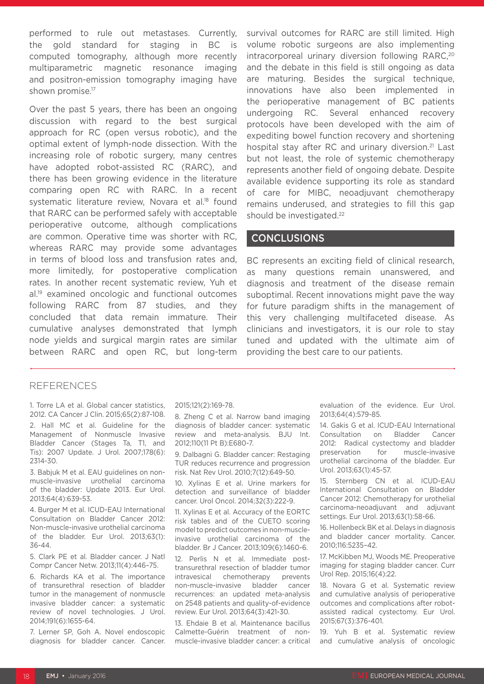performed to rule out metastases. Currently, the gold standard for staging in BC is computed tomography, although more recently multiparametric magnetic resonance imaging and positron-emission tomography imaging have shown promise.<sup>17</sup>

Over the past 5 years, there has been an ongoing discussion with regard to the best surgical approach for RC (open versus robotic), and the optimal extent of lymph-node dissection. With the increasing role of robotic surgery, many centres have adopted robot-assisted RC (RARC), and there has been growing evidence in the literature comparing open RC with RARC. In a recent systematic literature review, Novara et al.<sup>18</sup> found that RARC can be performed safely with acceptable perioperative outcome, although complications are common. Operative time was shorter with RC, whereas RARC may provide some advantages in terms of blood loss and transfusion rates and, more limitedly, for postoperative complication rates. In another recent systematic review, Yuh et al.19 examined oncologic and functional outcomes following RARC from 87 studies, and they concluded that data remain immature. Their cumulative analyses demonstrated that lymph node yields and surgical margin rates are similar between RARC and open RC, but long-term

survival outcomes for RARC are still limited. High volume robotic surgeons are also implementing intracorporeal urinary diversion following RARC,<sup>20</sup> and the debate in this field is still ongoing as data are maturing. Besides the surgical technique, innovations have also been implemented in the perioperative management of BC patients undergoing RC. Several enhanced recovery protocols have been developed with the aim of expediting bowel function recovery and shortening hospital stay after RC and urinary diversion.<sup>21</sup> Last but not least, the role of systemic chemotherapy represents another field of ongoing debate. Despite available evidence supporting its role as standard of care for MIBC, neoadjuvant chemotherapy remains underused, and strategies to fill this gap should be investigated.<sup>22</sup>

#### CONCLUSIONS

BC represents an exciting field of clinical research, as many questions remain unanswered, and diagnosis and treatment of the disease remain suboptimal. Recent innovations might pave the way for future paradigm shifts in the management of this very challenging multifaceted disease. As clinicians and investigators, it is our role to stay tuned and updated with the ultimate aim of providing the best care to our patients.

#### REFERENCES

1. Torre LA et al. Global cancer statistics, 2012. CA Cancer J Clin. 2015;65(2):87-108. 2. Hall MC et al. Guideline for the Management of Nonmuscle Invasive Bladder Cancer (Stages Ta, T1, and Tis): 2007 Update. J Urol. 2007;178(6): 2314-30.

3. Babjuk M et al. EAU guidelines on nonmuscle-invasive urothelial carcinoma of the bladder: Update 2013. Eur Urol. 2013;64(4):639-53.

4. Burger M et al. ICUD-EAU International Consultation on Bladder Cancer 2012: Non-muscle-invasive urothelial carcinoma of the bladder. Eur Urol. 2013;63(1): 36-44.

5. Clark PE et al. Bladder cancer. J Natl Compr Cancer Netw. 2013;11(4):446–75.

6. Richards KA et al. The importance of transurethral resection of bladder tumor in the management of nonmuscle invasive bladder cancer: a systematic review of novel technologies. J Urol. 2014;191(6):1655-64.

7. Lerner SP, Goh A. Novel endoscopic diagnosis for bladder cancer. Cancer. 2015;121(2):169-78.

8. Zheng C et al. Narrow band imaging diagnosis of bladder cancer: systematic review and meta-analysis. BJU Int. 2012;110(11 Pt B):E680-7.

9. Dalbagni G. Bladder cancer: Restaging TUR reduces recurrence and progression risk. Nat Rev Urol. 2010;7(12):649-50.

10. Xylinas E et al. Urine markers for detection and surveillance of bladder cancer. Urol Oncol. 2014;32(3):222-9.

11. Xylinas E et al. Accuracy of the EORTC risk tables and of the CUETO scoring model to predict outcomes in non-muscleinvasive urothelial carcinoma of the bladder. Br J Cancer. 2013;109(6):1460-6.

12. Perlis N et al. Immediate posttransurethral resection of bladder tumor intravesical chemotherapy prevents non-muscle-invasive bladder cancer recurrences: an updated meta-analysis on 2548 patients and quality-of-evidence review. Eur Urol. 2013;64(3):421-30.

13. Ehdaie B et al. Maintenance bacillus Calmette-Guérin treatment of nonmuscle-invasive bladder cancer: a critical evaluation of the evidence. Eur Urol. 2013;64(4):579-85.

14. Gakis G et al. ICUD-EAU International Consultation on Bladder Cancer 2012: Radical cystectomy and bladder preservation for muscle-invasive urothelial carcinoma of the bladder. Eur Urol. 2013;63(1):45-57.

15. Sternberg CN et al. ICUD-EAU International Consultation on Bladder Cancer 2012: Chemotherapy for urothelial carcinoma-neoadjuvant and adjuvant settings. Eur Urol. 2013;63(1):58-66.

16. Hollenbeck BK et al. Delays in diagnosis and bladder cancer mortality. Cancer. 2010;116:5235–42.

17. McKibben MJ, Woods ME. Preoperative imaging for staging bladder cancer. Curr Urol Rep. 2015;16(4):22.

18. Novara G et al. Systematic review and cumulative analysis of perioperative outcomes and complications after robotassisted radical cystectomy. Eur Urol. 2015;67(3):376-401.

19. Yuh B et al. Systematic review and cumulative analysis of oncologic